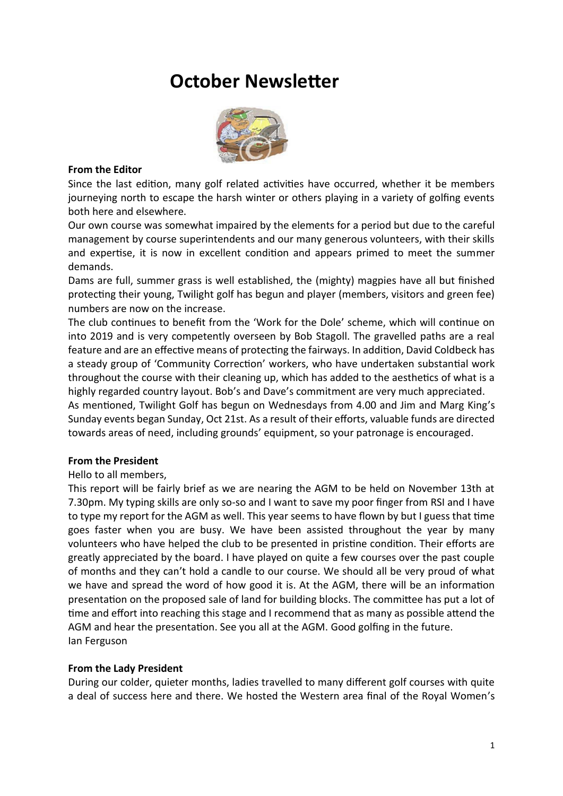# **October Newsletter**



#### **From the Editor**

Since the last edition, many golf related activities have occurred, whether it be members journeying north to escape the harsh winter or others playing in a variety of golfing events both here and elsewhere.

Our own course was somewhat impaired by the elements for a period but due to the careful management by course superintendents and our many generous volunteers, with their skills and expertise, it is now in excellent condition and appears primed to meet the summer demands.

Dams are full, summer grass is well established, the (mighty) magpies have all but finished protecting their young, Twilight golf has begun and player (members, visitors and green fee) numbers are now on the increase.

The club continues to benefit from the 'Work for the Dole' scheme, which will continue on into 2019 and is very competently overseen by Bob Stagoll. The gravelled paths are a real feature and are an effective means of protecting the fairways. In addition, David Coldbeck has a steady group of 'Community Correction' workers, who have undertaken substantial work throughout the course with their cleaning up, which has added to the aesthetics of what is a highly regarded country layout. Bob's and Dave's commitment are very much appreciated.

As mentioned, Twilight Golf has begun on Wednesdays from 4.00 and Jim and Marg King's Sunday events began Sunday, Oct 21st. As a result of their efforts, valuable funds are directed towards areas of need, including grounds' equipment, so your patronage is encouraged.

## **From the President**

Hello to all members,

This report will be fairly brief as we are nearing the AGM to be held on November 13th at 7.30pm. My typing skills are only so-so and I want to save my poor finger from RSI and I have to type my report for the AGM as well. This year seems to have flown by but I guess that time goes faster when you are busy. We have been assisted throughout the year by many volunteers who have helped the club to be presented in pristine condition. Their efforts are greatly appreciated by the board. I have played on quite a few courses over the past couple of months and they can't hold a candle to our course. We should all be very proud of what we have and spread the word of how good it is. At the AGM, there will be an information presentation on the proposed sale of land for building blocks. The committee has put a lot of time and effort into reaching this stage and I recommend that as many as possible attend the AGM and hear the presentation. See you all at the AGM. Good golfing in the future. Ian Ferguson

## **From the Lady President**

During our colder, quieter months, ladies travelled to many different golf courses with quite a deal of success here and there. We hosted the Western area final of the Royal Women's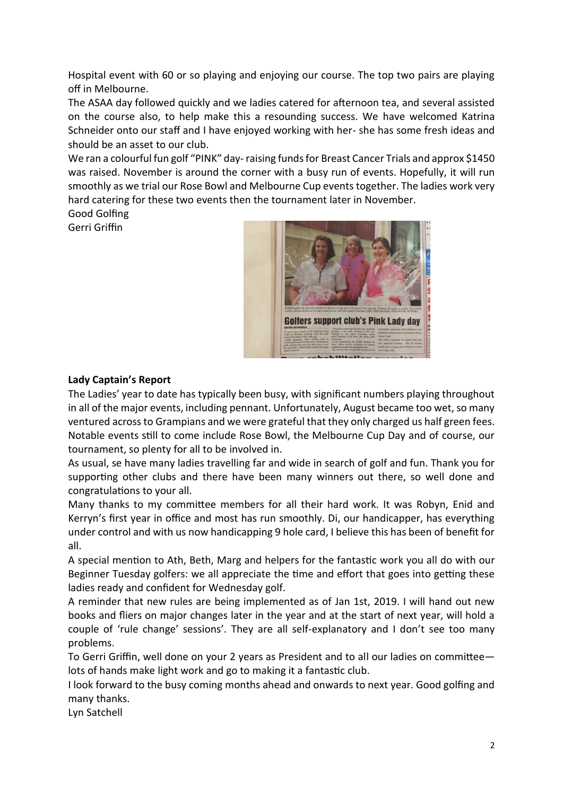Hospital event with 60 or so playing and enjoying our course. The top two pairs are playing off in Melbourne.

The ASAA day followed quickly and we ladies catered for afternoon tea, and several assisted on the course also, to help make this a resounding success. We have welcomed Katrina Schneider onto our staff and I have enjoyed working with her- she has some fresh ideas and should be an asset to our club.

We ran a colourful fun golf "PINK" day-raising funds for Breast Cancer Trials and approx \$1450 was raised. November is around the corner with a busy run of events. Hopefully, it will run smoothly as we trial our Rose Bowl and Melbourne Cup events together. The ladies work very hard catering for these two events then the tournament later in November.

Good Golfing Gerri Griffin



## **Lady Captain's Report**

The Ladies' year to date has typically been busy, with significant numbers playing throughout in all of the major events, including pennant. Unfortunately, August became too wet, so many ventured across to Grampians and we were grateful that they only charged us half green fees. Notable events still to come include Rose Bowl, the Melbourne Cup Day and of course, our tournament, so plenty for all to be involved in.

As usual, se have many ladies travelling far and wide in search of golf and fun. Thank you for supporting other clubs and there have been many winners out there, so well done and congratulations to your all.

Many thanks to my committee members for all their hard work. It was Robyn, Enid and Kerryn's first year in office and most has run smoothly. Di, our handicapper, has everything under control and with us now handicapping 9 hole card, I believe this has been of benefit for all.

A special mention to Ath, Beth, Marg and helpers for the fantastic work you all do with our Beginner Tuesday golfers: we all appreciate the time and effort that goes into getting these ladies ready and confident for Wednesday golf.

A reminder that new rules are being implemented as of Jan 1st, 2019. I will hand out new books and fliers on major changes later in the year and at the start of next year, will hold a couple of 'rule change' sessions'. They are all self-explanatory and I don't see too many problems.

To Gerri Griffin, well done on your 2 years as President and to all our ladies on committee lots of hands make light work and go to making it a fantastic club.

I look forward to the busy coming months ahead and onwards to next year. Good golfing and many thanks.

Lyn Satchell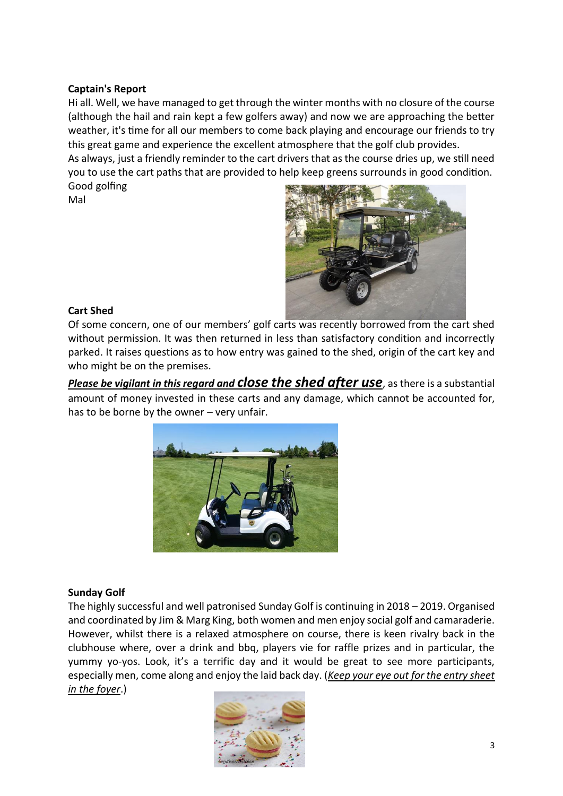## **Captain's Report**

Hi all. Well, we have managed to get through the winter months with no closure of the course (although the hail and rain kept a few golfers away) and now we are approaching the better weather, it's time for all our members to come back playing and encourage our friends to try this great game and experience the excellent atmosphere that the golf club provides. As always, just a friendly reminder to the cart drivers that as the course dries up, we still need

you to use the cart paths that are provided to help keep greens surrounds in good condition. Good golfing

Mal



## **Cart Shed**

Of some concern, one of our members' golf carts was recently borrowed from the cart shed without permission. It was then returned in less than satisfactory condition and incorrectly parked. It raises questions as to how entry was gained to the shed, origin of the cart key and who might be on the premises.

*Please be vigilant in this regard and close the shed after use*, as there is a substantial amount of money invested in these carts and any damage, which cannot be accounted for, has to be borne by the owner – very unfair.



## **Sunday Golf**

The highly successful and well patronised Sunday Golf is continuing in 2018 – 2019. Organised and coordinated by Jim & Marg King, both women and men enjoy social golf and camaraderie. However, whilst there is a relaxed atmosphere on course, there is keen rivalry back in the clubhouse where, over a drink and bbq, players vie for raffle prizes and in particular, the yummy yo-yos. Look, it's a terrific day and it would be great to see more participants, especially men, come along and enjoy the laid back day. (*Keep your eye out for the entry sheet in the foyer*.)

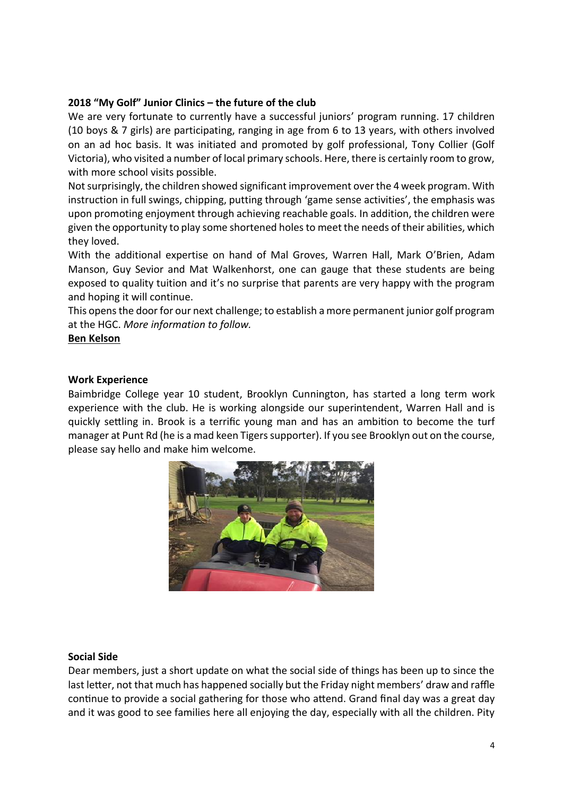## **2018 "My Golf" Junior Clinics – the future of the club**

We are very fortunate to currently have a successful juniors' program running. 17 children (10 boys & 7 girls) are participating, ranging in age from 6 to 13 years, with others involved on an ad hoc basis. It was initiated and promoted by golf professional, Tony Collier (Golf Victoria), who visited a number of local primary schools. Here, there is certainly room to grow, with more school visits possible.

Not surprisingly, the children showed significant improvement over the 4 week program. With instruction in full swings, chipping, putting through 'game sense activities', the emphasis was upon promoting enjoyment through achieving reachable goals. In addition, the children were given the opportunity to play some shortened holes to meet the needs of their abilities, which they loved.

With the additional expertise on hand of Mal Groves, Warren Hall, Mark O'Brien, Adam Manson, Guy Sevior and Mat Walkenhorst, one can gauge that these students are being exposed to quality tuition and it's no surprise that parents are very happy with the program and hoping it will continue.

This opens the door for our next challenge; to establish a more permanent junior golf program at the HGC. *More information to follow.*

**Ben Kelson**

#### **Work Experience**

Baimbridge College year 10 student, Brooklyn Cunnington, has started a long term work experience with the club. He is working alongside our superintendent, Warren Hall and is quickly settling in. Brook is a terrific young man and has an ambition to become the turf manager at Punt Rd (he is a mad keen Tigers supporter). If you see Brooklyn out on the course, please say hello and make him welcome.



#### **Social Side**

Dear members, just a short update on what the social side of things has been up to since the last letter, not that much has happened socially but the Friday night members' draw and raffle continue to provide a social gathering for those who attend. Grand final day was a great day and it was good to see families here all enjoying the day, especially with all the children. Pity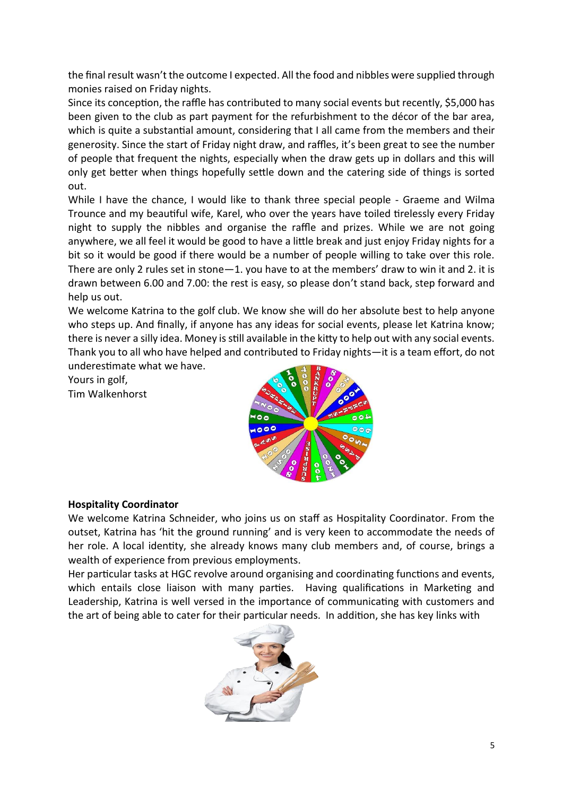the final result wasn't the outcome I expected. All the food and nibbles were supplied through monies raised on Friday nights.

Since its conception, the raffle has contributed to many social events but recently, \$5,000 has been given to the club as part payment for the refurbishment to the décor of the bar area, which is quite a substantial amount, considering that I all came from the members and their generosity. Since the start of Friday night draw, and raffles, it's been great to see the number of people that frequent the nights, especially when the draw gets up in dollars and this will only get better when things hopefully settle down and the catering side of things is sorted out.

While I have the chance, I would like to thank three special people - Graeme and Wilma Trounce and my beautiful wife, Karel, who over the years have toiled tirelessly every Friday night to supply the nibbles and organise the raffle and prizes. While we are not going anywhere, we all feel it would be good to have a little break and just enjoy Friday nights for a bit so it would be good if there would be a number of people willing to take over this role. There are only 2 rules set in stone—1. you have to at the members' draw to win it and 2. it is drawn between 6.00 and 7.00: the rest is easy, so please don't stand back, step forward and help us out.

We welcome Katrina to the golf club. We know she will do her absolute best to help anyone who steps up. And finally, if anyone has any ideas for social events, please let Katrina know; there is never a silly idea. Money is still available in the kitty to help out with any social events. Thank you to all who have helped and contributed to Friday nights—it is a team effort, do not underestimate what we have.

Yours in golf,

Tim Walkenhorst



## **Hospitality Coordinator**

We welcome Katrina Schneider, who joins us on staff as Hospitality Coordinator. From the outset, Katrina has 'hit the ground running' and is very keen to accommodate the needs of her role. A local identity, she already knows many club members and, of course, brings a wealth of experience from previous employments.

Her particular tasks at HGC revolve around organising and coordinating functions and events, which entails close liaison with many parties. Having qualifications in Marketing and Leadership, Katrina is well versed in the importance of communicating with customers and the art of being able to cater for their particular needs. In addition, she has key links with

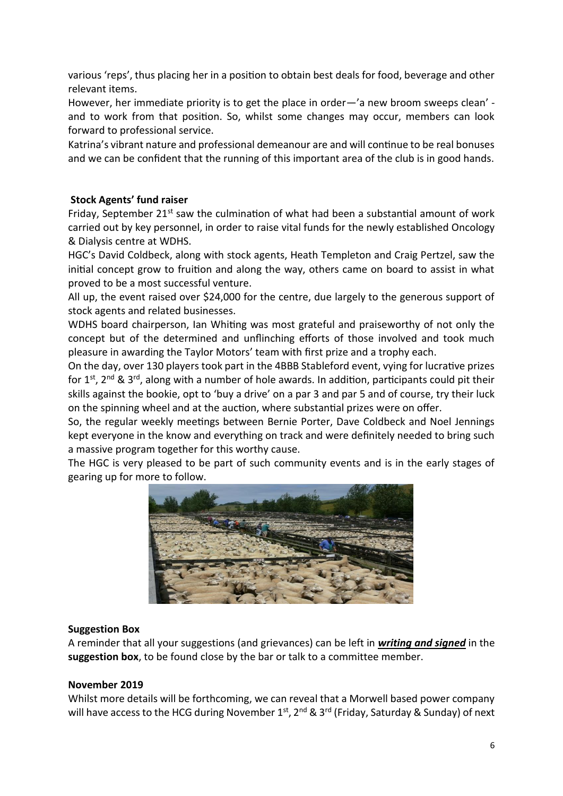various 'reps', thus placing her in a position to obtain best deals for food, beverage and other relevant items.

However, her immediate priority is to get the place in order—'a new broom sweeps clean' and to work from that position. So, whilst some changes may occur, members can look forward to professional service.

Katrina's vibrant nature and professional demeanour are and will continue to be real bonuses and we can be confident that the running of this important area of the club is in good hands.

## **Stock Agents' fund raiser**

Friday, September 21<sup>st</sup> saw the culmination of what had been a substantial amount of work carried out by key personnel, in order to raise vital funds for the newly established Oncology & Dialysis centre at WDHS.

HGC's David Coldbeck, along with stock agents, Heath Templeton and Craig Pertzel, saw the initial concept grow to fruition and along the way, others came on board to assist in what proved to be a most successful venture.

All up, the event raised over \$24,000 for the centre, due largely to the generous support of stock agents and related businesses.

WDHS board chairperson, Ian Whiting was most grateful and praiseworthy of not only the concept but of the determined and unflinching efforts of those involved and took much pleasure in awarding the Taylor Motors' team with first prize and a trophy each.

On the day, over 130 players took part in the 4BBB Stableford event, vying for lucrative prizes for 1<sup>st</sup>, 2<sup>nd</sup> & 3<sup>rd</sup>, along with a number of hole awards. In addition, participants could pit their skills against the bookie, opt to 'buy a drive' on a par 3 and par 5 and of course, try their luck on the spinning wheel and at the auction, where substantial prizes were on offer.

So, the regular weekly meetings between Bernie Porter, Dave Coldbeck and Noel Jennings kept everyone in the know and everything on track and were definitely needed to bring such a massive program together for this worthy cause.

The HGC is very pleased to be part of such community events and is in the early stages of gearing up for more to follow.



## **Suggestion Box**

A reminder that all your suggestions (and grievances) can be left in *writing and signed* in the **suggestion box**, to be found close by the bar or talk to a committee member.

#### **November 2019**

Whilst more details will be forthcoming, we can reveal that a Morwell based power company will have access to the HCG during November 1<sup>st</sup>, 2<sup>nd</sup> & 3<sup>rd</sup> (Friday, Saturday & Sunday) of next